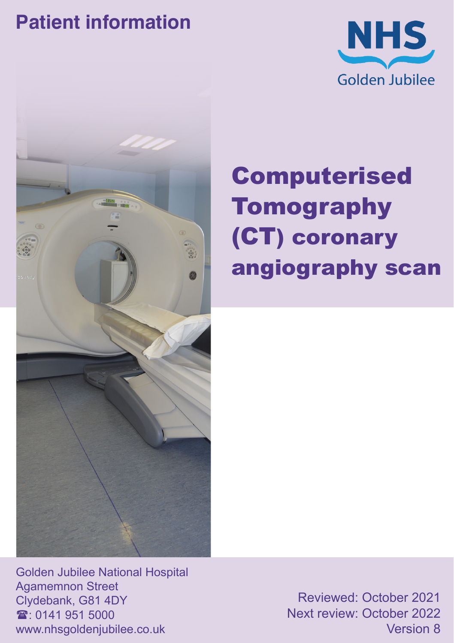### **Patient information**





# Computerised **Tomography** (CT) coronary angiography scan

Golden Jubilee National Hospital Agamemnon Street Clydebank, G81 4DY  $\mathbf{\hat{x}}$  0141 951 5000 www.nhsgoldenjubilee.co.uk

Reviewed: October 2021 Next review: October 2022 Version 8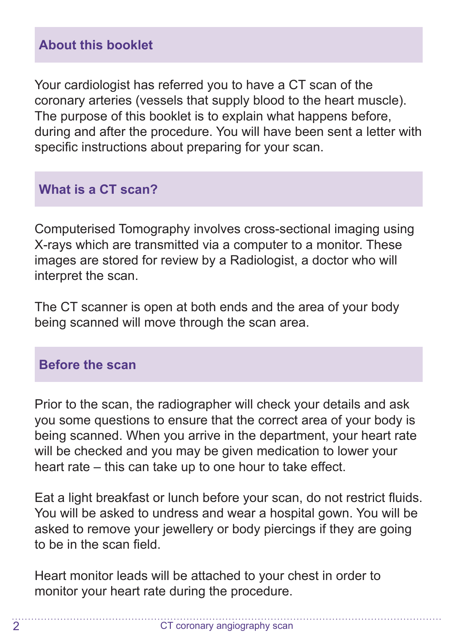Your cardiologist has referred you to have a CT scan of the coronary arteries (vessels that supply blood to the heart muscle). The purpose of this booklet is to explain what happens before, during and after the procedure. You will have been sent a letter with specific instructions about preparing for your scan.

#### **What is a CT scan?**

Computerised Tomography involves cross-sectional imaging using X-rays which are transmitted via a computer to a monitor. These images are stored for review by a Radiologist, a doctor who will interpret the scan.

The CT scanner is open at both ends and the area of your body being scanned will move through the scan area.

#### **Before the scan**

Prior to the scan, the radiographer will check your details and ask you some questions to ensure that the correct area of your body is being scanned. When you arrive in the department, your heart rate will be checked and you may be given medication to lower your heart rate – this can take up to one hour to take effect.

Eat a light breakfast or lunch before your scan, do not restrict fluids. You will be asked to undress and wear a hospital gown. You will be asked to remove your jewellery or body piercings if they are going to be in the scan field.

Heart monitor leads will be attached to your chest in order to monitor your heart rate during the procedure.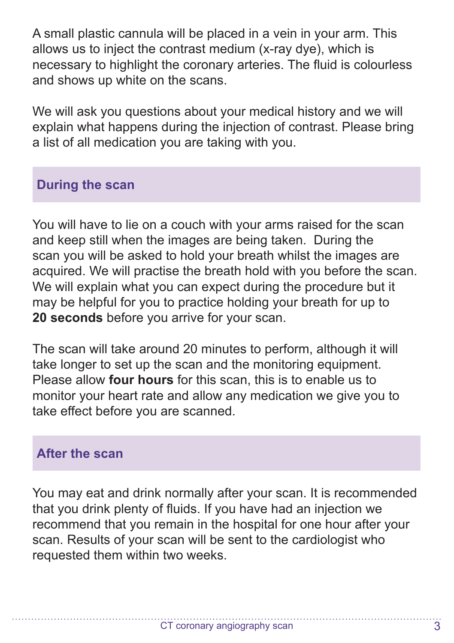A small plastic cannula will be placed in a vein in your arm. This allows us to inject the contrast medium (x-ray dye), which is necessary to highlight the coronary arteries. The fluid is colourless and shows up white on the scans.

We will ask you questions about your medical history and we will explain what happens during the injection of contrast. Please bring a list of all medication you are taking with you.

#### **During the scan**

You will have to lie on a couch with your arms raised for the scan and keep still when the images are being taken. During the scan you will be asked to hold your breath whilst the images are acquired. We will practise the breath hold with you before the scan. We will explain what you can expect during the procedure but it may be helpful for you to practice holding your breath for up to **20 seconds** before you arrive for your scan.

The scan will take around 20 minutes to perform, although it will take longer to set up the scan and the monitoring equipment. Please allow **four hours** for this scan, this is to enable us to monitor your heart rate and allow any medication we give you to take effect before you are scanned.

#### **After the scan**

You may eat and drink normally after your scan. It is recommended that you drink plenty of fluids. If you have had an injection we recommend that you remain in the hospital for one hour after your scan. Results of your scan will be sent to the cardiologist who requested them within two weeks.